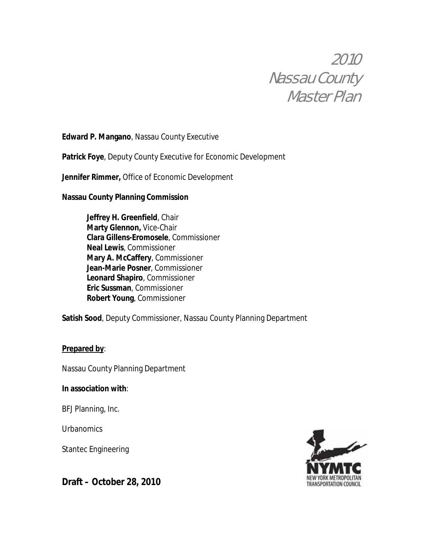# 2010 Nassau County Master Plan

# **Edward P. Mangano**, Nassau County Executive

**Patrick Foye**, Deputy County Executive for Economic Development

**Jennifer Rimmer,** Office of Economic Development

**Nassau County Planning Commission** 

 **Jeffrey H. Greenfield**, Chair **Marty Glennon,** Vice-Chair **Clara Gillens-Eromosele**, Commissioner **Neal Lewis**, Commissioner **Mary A. McCaffery**, Commissioner **Jean-Marie Posner**, Commissioner **Leonard Shapiro**, Commissioner  **Eric Sussman**, Commissioner  **Robert Young**, Commissioner

**Satish Sood**, Deputy Commissioner, Nassau County Planning Department

# **Prepared by**:

Nassau County Planning Department

# **In association with**:

BFJ Planning, Inc.

**Urbanomics** 

Stantec Engineering

**Draft – October 28, 2010** 

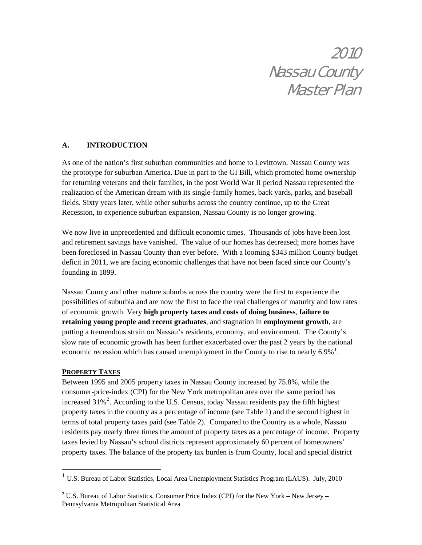# 2010 Nassau County Master Plan

## **A. INTRODUCTION**

As one of the nation's first suburban communities and home to Levittown, Nassau County was the prototype for suburban America. Due in part to the GI Bill, which promoted home ownership for returning veterans and their families, in the post World War II period Nassau represented the realization of the American dream with its single-family homes, back yards, parks, and baseball fields. Sixty years later, while other suburbs across the country continue, up to the Great Recession, to experience suburban expansion, Nassau County is no longer growing.

We now live in unprecedented and difficult economic times. Thousands of jobs have been lost and retirement savings have vanished. The value of our homes has decreased; more homes have been foreclosed in Nassau County than ever before. With a looming \$343 million County budget deficit in 2011, we are facing economic challenges that have not been faced since our County's founding in 1899.

Nassau County and other mature suburbs across the country were the first to experience the possibilities of suburbia and are now the first to face the real challenges of maturity and low rates of economic growth. Very **high property taxes and costs of doing business**, **failure to retaining young people and recent graduates**, and stagnation in **employment growth**, are putting a tremendous strain on Nassau's residents, economy, and environment. The County's slow rate of economic growth has been further exacerbated over the past 2 years by the national economic recession which has caused unemployment in the County to rise to nearly  $6.9\%$ <sup>[1](#page-1-0)</sup>.

#### **PROPERTY TAXES**

 $\overline{a}$ 

Between 1995 and 2005 property taxes in Nassau County increased by 75.8%, while the consumer-price-index (CPI) for the New York metropolitan area over the same period has increased  $31\%$ <sup>[2](#page-1-1)</sup>. According to the U.S. Census, today Nassau residents pay the fifth highest property taxes in the country as a percentage of income (see Table 1) and the second highest in terms of total property taxes paid (see Table 2). Compared to the Country as a whole, Nassau residents pay nearly three times the amount of property taxes as a percentage of income. Property taxes levied by Nassau's school districts represent approximately 60 percent of homeowners' property taxes. The balance of the property tax burden is from County, local and special district

<span id="page-1-0"></span><sup>&</sup>lt;sup>1</sup> U.S. Bureau of Labor Statistics, Local Area Unemployment Statistics Program (LAUS). July, 2010

<span id="page-1-1"></span><sup>&</sup>lt;sup>2</sup> U.S. Bureau of Labor Statistics, Consumer Price Index (CPI) for the New York – New Jersey – Pennsylvania Metropolitan Statistical Area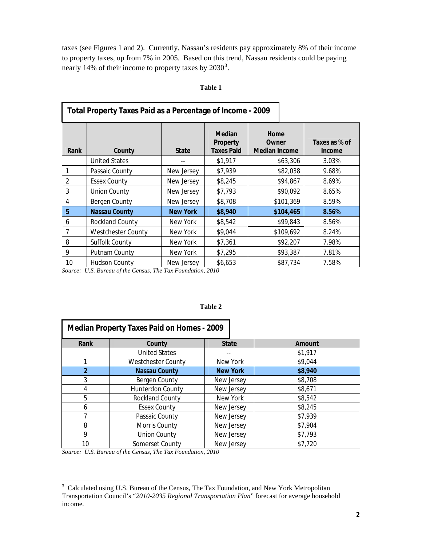taxes (see Figures 1 and 2). Currently, Nassau's residents pay approximately 8% of their income to property taxes, up from 7% in 2005. Based on this trend, Nassau residents could be paying nearly 14% of their income to property taxes by  $2030^3$  $2030^3$  $2030^3$ .

| Total Property Taxes Paid as a Percentage of Income - 2009 |                      |                 |                                                |                                       |                         |  |  |  |  |
|------------------------------------------------------------|----------------------|-----------------|------------------------------------------------|---------------------------------------|-------------------------|--|--|--|--|
| Rank                                                       | County               | <b>State</b>    | <b>Median</b><br>Property<br><b>Taxes Paid</b> | Home<br>Owner<br><b>Median Income</b> | Taxes as % of<br>Income |  |  |  |  |
|                                                            | <b>United States</b> |                 | \$1,917                                        | \$63,306                              | 3.03%                   |  |  |  |  |
|                                                            | Passaic County       | New Jersey      | \$7,939                                        | \$82,038                              | 9.68%                   |  |  |  |  |
| $\overline{2}$                                             | <b>Essex County</b>  | New Jersey      | \$8,245                                        | \$94,867                              | 8.69%                   |  |  |  |  |
| 3                                                          | <b>Union County</b>  | New Jersey      | \$7,793                                        | \$90,092                              | 8.65%                   |  |  |  |  |
| 4                                                          | Bergen County        | New Jersey      | \$8,708                                        | \$101,369                             | 8.59%                   |  |  |  |  |
| 5                                                          | <b>Nassau County</b> | <b>New York</b> | \$8,940                                        | \$104,465                             | 8.56%                   |  |  |  |  |
| 6                                                          | Rockland County      | New York        | \$8,542                                        | \$99,843                              | 8.56%                   |  |  |  |  |
| $\overline{7}$                                             | Westchester County   | New York        | \$9,044                                        | \$109,692                             | 8.24%                   |  |  |  |  |
| 8                                                          | Suffolk County       | New York        | \$7,361                                        | \$92,207                              | 7.98%                   |  |  |  |  |
| 9                                                          | Putnam County        | New York        | \$7,295                                        | \$93,387                              | 7.81%                   |  |  |  |  |
| 10                                                         | <b>Hudson County</b> | New Jersey      | \$6,653                                        | \$87,734                              | 7.58%                   |  |  |  |  |

#### **Table 1**

*Source: U.S. Bureau of the Census, The Tax Foundation, 2010* 

#### **Table 2**

| <b>Median Property Taxes Paid on Homes - 2009</b> |                           |                 |         |  |  |  |  |  |  |
|---------------------------------------------------|---------------------------|-----------------|---------|--|--|--|--|--|--|
| Rank                                              | County                    | <b>State</b>    | Amount  |  |  |  |  |  |  |
|                                                   | <b>United States</b>      |                 | \$1,917 |  |  |  |  |  |  |
|                                                   | <b>Westchester County</b> | New York        | \$9,044 |  |  |  |  |  |  |
| $\overline{2}$                                    | <b>Nassau County</b>      | <b>New York</b> | \$8,940 |  |  |  |  |  |  |
| 3                                                 | <b>Bergen County</b>      | New Jersey      | \$8,708 |  |  |  |  |  |  |
| 4                                                 | Hunterdon County          | New Jersey      | \$8,671 |  |  |  |  |  |  |
| 5                                                 | Rockland County           | New York        | \$8,542 |  |  |  |  |  |  |
| 6                                                 | <b>Essex County</b>       | New Jersey      | \$8,245 |  |  |  |  |  |  |
|                                                   | Passaic County            | New Jersey      | \$7,939 |  |  |  |  |  |  |
| 8<br>Morris County                                |                           | New Jersey      | \$7,904 |  |  |  |  |  |  |
| 9                                                 | <b>Union County</b>       | New Jersey      | \$7,793 |  |  |  |  |  |  |
| 10                                                | Somerset County           | New Jersey      | \$7,720 |  |  |  |  |  |  |

*Source: U.S. Bureau of the Census, The Tax Foundation, 2010* 

<span id="page-2-0"></span><sup>&</sup>lt;sup>3</sup> Calculated using U.S. Bureau of the Census, The Tax Foundation, and New York Metropolitan Transportation Council's "*2010-2035 Regional Transportation Plan*" forecast for average household income.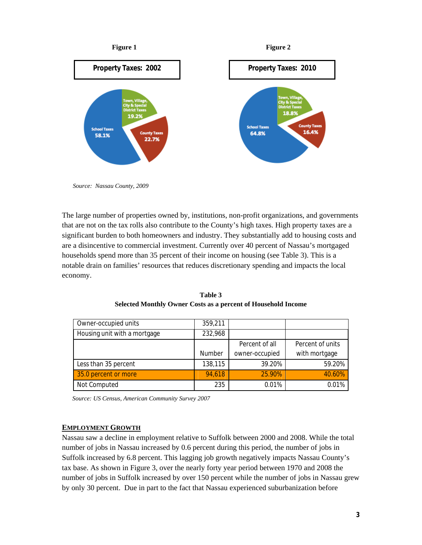

 *Source: Nassau County, 2009* 

The large number of properties owned by, institutions, non-profit organizations, and governments that are not on the tax rolls also contribute to the County's high taxes. High property taxes are a significant burden to both homeowners and industry. They substantially add to housing costs and are a disincentive to commercial investment. Currently over 40 percent of Nassau's mortgaged households spend more than 35 percent of their income on housing (see Table 3). This is a notable drain on families' resources that reduces discretionary spending and impacts the local economy.

| Owner-occupied units         | 359,211 |                |                  |
|------------------------------|---------|----------------|------------------|
| Housing unit with a mortgage | 232,968 |                |                  |
|                              |         | Percent of all | Percent of units |
|                              | Number  | owner-occupied | with mortgage    |
| Less than 35 percent         | 138,115 | 39.20%         | 59.20%           |
| 35.0 percent or more         | 94.618  | 25.90%         | 40.60%           |
| Not Computed                 | 235     | 0.01%          | 0.01%            |

**Table 3 Selected Monthly Owner Costs as a percent of Household Income** 

 *Source: US Census, American Community Survey 2007*

#### **EMPLOYMENT GROWTH**

Nassau saw a decline in employment relative to Suffolk between 2000 and 2008. While the total number of jobs in Nassau increased by 0.6 percent during this period, the number of jobs in Suffolk increased by 6.8 percent. This lagging job growth negatively impacts Nassau County's tax base. As shown in Figure 3, over the nearly forty year period between 1970 and 2008 the number of jobs in Suffolk increased by over 150 percent while the number of jobs in Nassau grew by only 30 percent. Due in part to the fact that Nassau experienced suburbanization before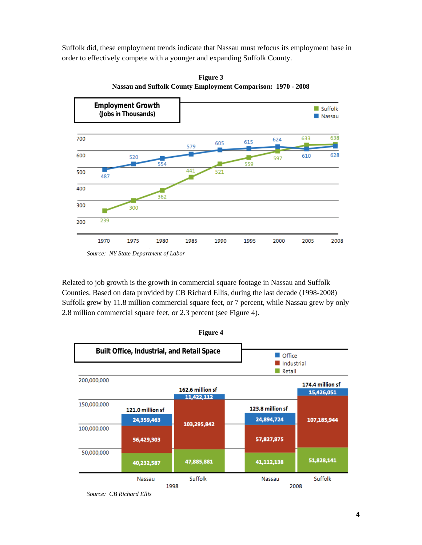Suffolk did, these employment trends indicate that Nassau must refocus its employment base in order to effectively compete with a younger and expanding Suffolk County.



**Figure 3 Nassau and Suffolk County Employment Comparison: 1970 - 2008** 

Related to job growth is the growth in commercial square footage in Nassau and Suffolk Counties. Based on data provided by CB Richard Ellis, during the last decade (1998-2008) Suffolk grew by 11.8 million commercial square feet, or 7 percent, while Nassau grew by only 2.8 million commercial square feet, or 2.3 percent (see Figure 4).



 *Source: CB Richard Ellis*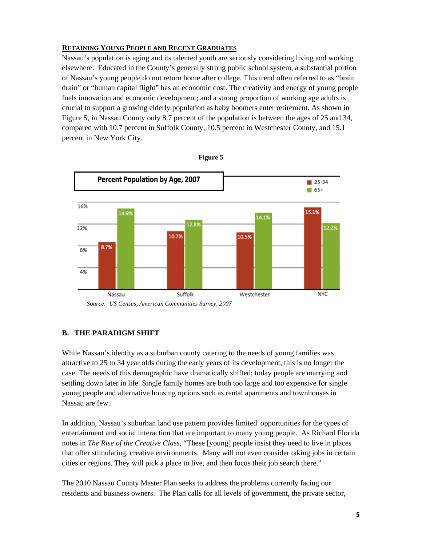## **RETAINING YOUNG PEOPLE AND RECENT GRADUATES**

Nassau's population is aging and its talented youth are seriously considering living and working elsewhere. Educated in the County's generally strong public school system, a substantial portion of Nassau's young people do not return home after college. This trend often referred to as "brain drain" or "human capital flight" has an economic cost. The creativity and energy of young people fuels innovation and economic development; and a strong proportion of working age adults is crucial to support a growing elderly population as baby boomers enter retirement. As shown in Figure 5, in Nassau County only 8.7 percent of the population is between the ages of 25 and 34, compared with 10.7 percent in Suffolk County, 10.5 percent in Westchester County, and 15.1 percent in New York City.





## **B. THE PARADIGM SHIFT**

While Nassau's identity as a suburban county catering to the needs of young families was attractive to 25 to 34 year olds during the early years of its development, this is no longer the case. The needs of this demographic have dramatically shifted; today people are marrying and settling down later in life. Single family homes are both too large and too expensive for single young people and alternative housing options such as rental apartments and townhouses in Nassau are few.

In addition, Nassau's suburban land use pattern provides limited opportunities for the types of entertainment and social interaction that are important to many young people. As Richard Florida notes in *The Rise of the Creative Class*, "These [young] people insist they need to live in places that offer stimulating, creative environments. Many will not even consider taking jobs in certain cities or regions. They will pick a place to live, and then focus their job search there."

The 2010 Nassau County Master Plan seeks to address the problems currently facing our residents and business owners. The Plan calls for all levels of government, the private sector,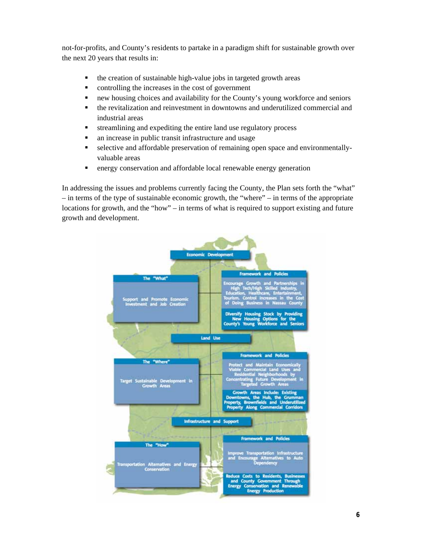not-for-profits, and County's residents to partake in a paradigm shift for sustainable growth over the next 20 years that results in:

- $\blacksquare$  the creation of sustainable high-value jobs in targeted growth areas
- controlling the increases in the cost of government
- new housing choices and availability for the County's young workforce and seniors
- the revitalization and reinvestment in downtowns and underutilized commercial and industrial areas
- streamlining and expediting the entire land use regulatory process
- an increase in public transit infrastructure and usage
- selective and affordable preservation of remaining open space and environmentallyvaluable areas
- energy conservation and affordable local renewable energy generation

In addressing the issues and problems currently facing the County, the Plan sets forth the "what" – in terms of the type of sustainable economic growth, the "where" – in terms of the appropriate locations for growth, and the "how" – in terms of what is required to support existing and future growth and development.